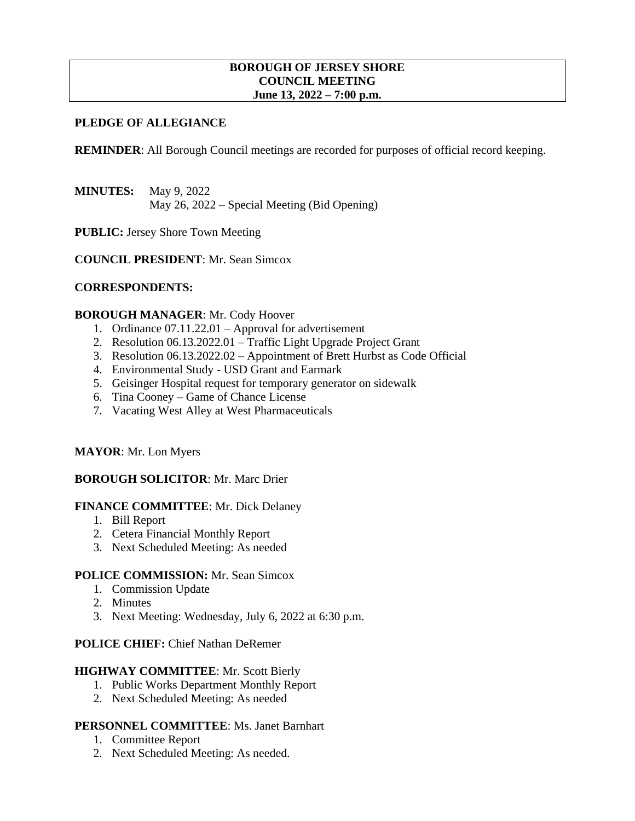#### **BOROUGH OF JERSEY SHORE COUNCIL MEETING June 13, 2022 – 7:00 p.m.**

# **PLEDGE OF ALLEGIANCE**

**REMINDER:** All Borough Council meetings are recorded for purposes of official record keeping.

**MINUTES:** May 9, 2022 May 26, 2022 – Special Meeting (Bid Opening)

**PUBLIC:** Jersey Shore Town Meeting

**COUNCIL PRESIDENT**: Mr. Sean Simcox

#### **CORRESPONDENTS:**

#### **BOROUGH MANAGER**: Mr. Cody Hoover

- 1. Ordinance 07.11.22.01 Approval for advertisement
- 2. Resolution 06.13.2022.01 Traffic Light Upgrade Project Grant
- 3. Resolution 06.13.2022.02 Appointment of Brett Hurbst as Code Official
- 4. Environmental Study USD Grant and Earmark
- 5. Geisinger Hospital request for temporary generator on sidewalk
- 6. Tina Cooney Game of Chance License
- 7. Vacating West Alley at West Pharmaceuticals

#### **MAYOR**: Mr. Lon Myers

### **BOROUGH SOLICITOR**: Mr. Marc Drier

#### **FINANCE COMMITTEE**: Mr. Dick Delaney

- 1. Bill Report
- 2. Cetera Financial Monthly Report
- 3. Next Scheduled Meeting: As needed

#### **POLICE COMMISSION:** Mr. Sean Simcox

- 1. Commission Update
- 2. Minutes
- 3. Next Meeting: Wednesday, July 6, 2022 at 6:30 p.m.

#### **POLICE CHIEF:** Chief Nathan DeRemer

#### **HIGHWAY COMMITTEE**: Mr. Scott Bierly

- 1. Public Works Department Monthly Report
- 2. Next Scheduled Meeting: As needed

#### **PERSONNEL COMMITTEE**: Ms. Janet Barnhart

- 1. Committee Report
- 2. Next Scheduled Meeting: As needed.